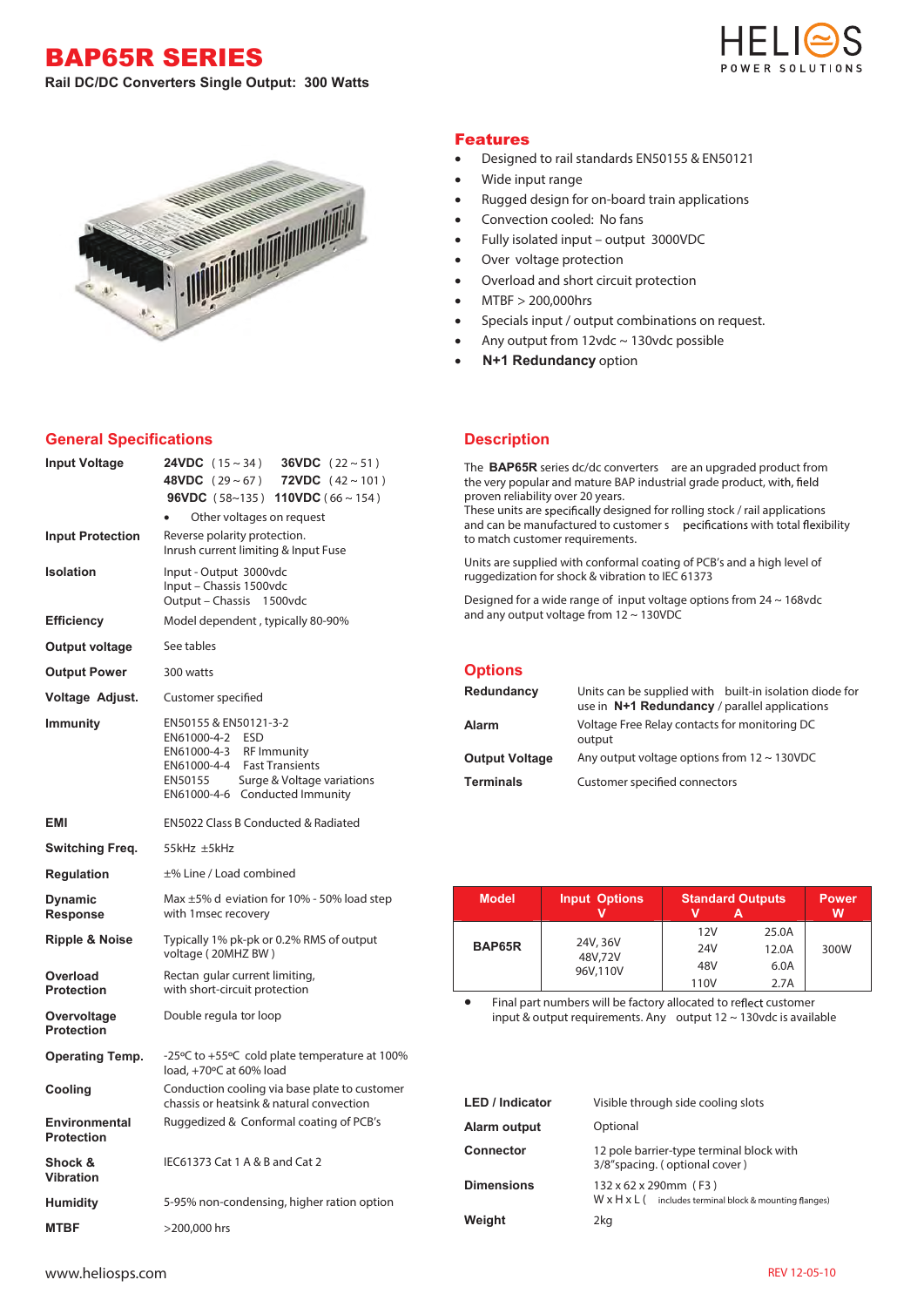BAP65R SERIES **Rail DC/DC Converters Single Output: 300 Watts** 





## **General Specifications**

| <b>Input Voltage</b>               | <b>24VDC</b> $(15 \sim 34)$<br><b>36VDC</b> $(22 \sim 51)$<br><b>48VDC</b> $(29 \sim 67)$<br><b>72VDC</b> $(42 \sim 101)$<br><b>96VDC</b> (58~135) <b>110VDC</b> (66~154)<br>Other voltages on request |  |  |
|------------------------------------|--------------------------------------------------------------------------------------------------------------------------------------------------------------------------------------------------------|--|--|
| <b>Input Protection</b>            | Reverse polarity protection.<br>Inrush current limiting & Input Fuse                                                                                                                                   |  |  |
| <b>Isolation</b>                   | Input - Output 3000vdc<br>Input - Chassis 1500vdc<br>Output - Chassis 1500vdc                                                                                                                          |  |  |
| <b>Efficiency</b>                  | Model dependent, typically 80-90%                                                                                                                                                                      |  |  |
| Output voltage                     | See tables                                                                                                                                                                                             |  |  |
| <b>Output Power</b>                | 300 watts                                                                                                                                                                                              |  |  |
| Voltage Adjust.                    | Customer specified                                                                                                                                                                                     |  |  |
| <b>Immunity</b>                    | EN50155 & EN50121-3-2<br>EN61000-4-2 ESD<br>EN61000-4-3 RF Immunity<br>EN61000-4-4 Fast Transients<br>Surge & Voltage variations<br>EN50155<br>EN61000-4-6 Conducted Immunity                          |  |  |
| <b>EMI</b>                         | EN5022 Class B Conducted & Radiated                                                                                                                                                                    |  |  |
| Switching Freq.                    | 55kHz ±5kHz                                                                                                                                                                                            |  |  |
| <b>Regulation</b>                  | ±% Line / Load combined                                                                                                                                                                                |  |  |
| <b>Dynamic</b><br><b>Response</b>  | Max $\pm$ 5% d eviation for 10% - 50% load step<br>with 1 msec recovery                                                                                                                                |  |  |
| <b>Ripple &amp; Noise</b>          | Typically 1% pk-pk or 0.2% RMS of output<br>voltage (20MHZ BW)                                                                                                                                         |  |  |
| Overload<br><b>Protection</b>      | Rectan gular current limiting,<br>with short-circuit protection                                                                                                                                        |  |  |
| Overvoltage<br><b>Protection</b>   | Double regula tor loop                                                                                                                                                                                 |  |  |
| <b>Operating Temp.</b>             | -25°C to +55°C cold plate temperature at 100%<br>load, +70°C at 60% load                                                                                                                               |  |  |
| Cooling                            | Conduction cooling via base plate to customer<br>chassis or heatsink & natural convection                                                                                                              |  |  |
| Environmental<br><b>Protection</b> | Ruggedized & Conformal coating of PCB's                                                                                                                                                                |  |  |
| Shock &<br><b>Vibration</b>        | IEC61373 Cat 1 A & B and Cat 2                                                                                                                                                                         |  |  |
| <b>Humidity</b>                    | 5-95% non-condensing, higher ration option                                                                                                                                                             |  |  |
| <b>MTBF</b>                        | >200,000 hrs                                                                                                                                                                                           |  |  |

## Features

- Designed to rail standards EN50155 & EN50121
- Wide input range
- Rugged design for on-board train applications
- Convection cooled: No fans
- Fully isolated input output 3000VDC
- Over voltage protection
- Overload and short circuit protection
- MTBF > 200,000hrs
- Specials input / output combinations on request.
- Any output from  $12$ vdc ~  $130$ vdc possible
- **N+1 Redundancy** option

## **Description**

The **BAP65R** series dc/dc converters are an upgraded product from the very popular and mature BAP industrial grade product, with, field proven reliability over 20 years.

These units are specifically designed for rolling stock / rail applications and can be manufactured to customer s pecifications with total flexibility to match customer requirements.

Units are supplied with conformal coating of PCB's and a high level of ruggedization for shock & vibration to IEC 61373

Designed for a wide range of input voltage options from 24 ~ 168vdc and any output voltage from 12 ~ 130VDC

|  | <b>Options</b> |  |
|--|----------------|--|
|  |                |  |

| Redundancy            | Units can be supplied with built-in isolation diode for<br>use in N+1 Redundancy / parallel applications |
|-----------------------|----------------------------------------------------------------------------------------------------------|
| <b>Alarm</b>          | Voltage Free Relay contacts for monitoring DC<br>output                                                  |
| <b>Output Voltage</b> | Any output voltage options from $12 \sim 130$ VDC                                                        |
| <b>Terminals</b>      | Customer specified connectors                                                                            |

| <b>Model</b> | <b>Input Options</b> | <b>Standard Outputs</b> |       | <b>Power</b><br>w |
|--------------|----------------------|-------------------------|-------|-------------------|
|              | 24V, 36V             | 12V                     | 25.0A |                   |
| BAP65R       | 48V,72V<br>96V,110V  | 24V                     | 12.0A | 300W              |
|              |                      | 48V                     | 6.0A  |                   |
|              |                      | 110V                    | 2.7A  |                   |

Final part numbers will be factory allocated to reflect customer input & output requirements. Any output 12 ~ 130vdc is available

| <b>LED</b> / Indicator | Visible through side cooling slots                                                          |
|------------------------|---------------------------------------------------------------------------------------------|
| Alarm output           | Optional                                                                                    |
| <b>Connector</b>       | 12 pole barrier-type terminal block with<br>3/8"spacing. (optional cover)                   |
| <b>Dimensions</b>      | 132 x 62 x 290mm (F3)<br>$W \times H \times L$ (includes terminal block & mounting flanges) |
| Weight                 | 2kg                                                                                         |